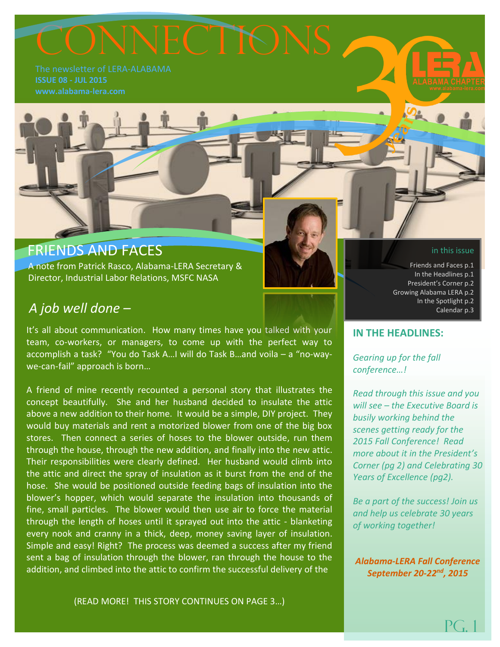# ONNECTIONS

**ISSUE 08 - JUL 2015**

# FRIENDS AND FACES

 A note from Patrick Rasco, Alabama-LERA Secretary & Director, Industrial Labor Relations, MSFC NASA

## *A job well done –*

It's all about communication. How many times have you talked with your team, co-workers, or managers, to come up with the perfect way to accomplish a task? "You do Task A…I will do Task B…and voila – a "no-waywe-can-fail" approach is born…

A friend of mine recently recounted a personal story that illustrates the concept beautifully. She and her husband decided to insulate the attic above a new addition to their home. It would be a simple, DIY project. They would buy materials and rent a motorized blower from one of the big box stores. Then connect a series of hoses to the blower outside, run them through the house, through the new addition, and finally into the new attic. Their responsibilities were clearly defined. Her husband would climb into the attic and direct the spray of insulation as it burst from the end of the hose. She would be positioned outside feeding bags of insulation into the blower's hopper, which would separate the insulation into thousands of fine, small particles. The blower would then use air to force the material through the length of hoses until it sprayed out into the attic - blanketing every nook and cranny in a thick, deep, money saving layer of insulation. Simple and easy! Right? The process was deemed a success after my friend sent a bag of insulation through the blower, ran through the house to the addition, and climbed into the attic to confirm the successful delivery of the

#### in this issue

Friends and Faces p.1 In the Headlines p.1 President's Corner p.2 Growing Alabama LERA p.2 In the Spotlight p.2 Calendar p.3

**IN THE HEADLINES:**

*Gearing up for the fall conference…!*

*Read through this issue and you will see – the Executive Board is busily working behind the scenes getting ready for the 2015 Fall Conference! Read more about it in the President's Corner (pg 2) and Celebrating 30 Years of Excellence (pg2).*

*Be a part of the success! Join us and help us celebrate 30 years of working together!*

*Alabama-LERA Fall Conference September 20-22nd, 2015*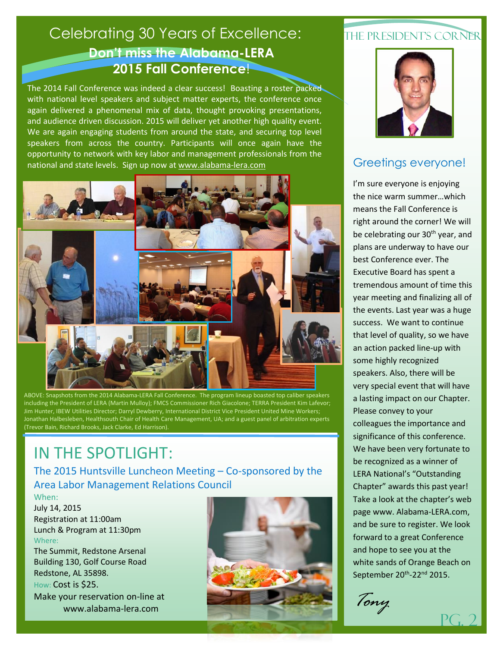# **Don't miss the Alabama-LERA 2015 Fall Conference**! Celebrating 30 Years of Excellence:

The 2014 Fall Conference was indeed a clear success! Boasting a roster packed with national level speakers and subject matter experts, the conference once again delivered a phenomenal mix of data, thought provoking presentations, and audience driven discussion. 2015 will deliver yet another high quality event. We are again engaging students from around the state, and securing top level speakers from across the country. Participants will once again have the opportunity to network with key labor and management professionals from the national and state levels. Sign up now a[t www.alabama-lera.com](http://www.alabama-lera.com/)



ABOVE: Snapshots from the 2014 Alabama-LERA Fall Conference. The program lineup boasted top caliber speakers including the President of LERA (Martin Mulloy); FMCS Commissioner Rich Giacolone; TERRA President Kim Lafevor; Jim Hunter, IBEW Utilities Director; Darryl Dewberry, International District Vice President United Mine Workers; Jonathan Halbesleben, Healthsouth Chair of Health Care Management, UA; and a guest panel of arbitration experts (Trevor Bain, Richard Brooks, Jack Clarke, Ed Harrison).

# IN THE SPOTLIGHT:

The 2015 Huntsville Luncheon Meeting – Co-sponsored by the Area Labor Management Relations Council

When: July 14, 2015 Registration at 11:00am Lunch & Program at 11:30pm Where: The Summit, Redstone Arsenal Building 130, Golf Course Road Redstone, AL 35898.

How: Cost is \$25.

Make your reservation on-line at www.alabama-lera.com



## THE PRESIDENT'S CORNER



## Greetings everyone!

I'm sure everyone is enjoying the nice warm summer…which means the Fall Conference is right around the corner! We will be celebrating our 30<sup>th</sup> year, and plans are underway to have our best Conference ever. The Executive Board has spent a tremendous amount of time this year meeting and finalizing all of the events. Last year was a huge success. We want to continue that level of quality, so we have an action packed line-up with some highly recognized speakers. Also, there will be very special event that will have a lasting impact on our Chapter. Please convey to your colleagues the importance and significance of this conference. We have been very fortunate to be recognized as a winner of LERA National's "Outstanding Chapter" awards this past year! Take a look at the chapter's web page www. Alabama-LERA.com, and be sure to register. We look forward to a great Conference and hope to see you at the white sands of Orange Beach on September 20<sup>th</sup>-22<sup>nd</sup> 2015.

*Tony*

Pg. 2